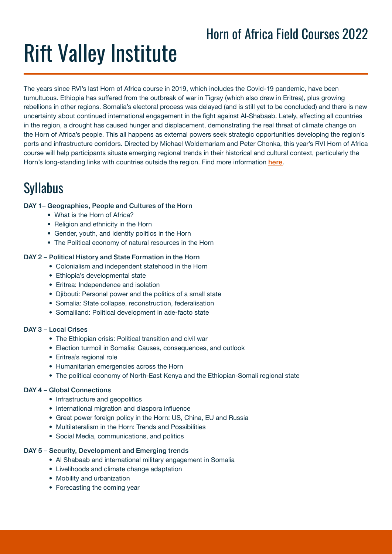## Horn of Africa Field Courses 2022

## Rift Valley Institute

The years since RVI's last Horn of Africa course in 2019, which includes the Covid-19 pandemic, have been tumultuous. Ethiopia has suffered from the outbreak of war in Tigray (which also drew in Eritrea), plus growing rebellions in other regions. Somalia's electoral process was delayed (and is still yet to be concluded) and there is new uncertainty about continued international engagement in the fight against Al-Shabaab. Lately, affecting all countries in the region, a drought has caused hunger and displacement, demonstrating the real threat of climate change on the Horn of Africa's people. This all happens as external powers seek strategic opportunities developing the region's ports and infrastructure corridors. Directed by Michael Woldemariam and Peter Chonka, this year's RVI Horn of Africa course will help participants situate emerging regional trends in their historical and cultural context, particularly the Horn's long-standing links with countries outside the region. Find more information [here](https://riftvalley.net/index.php/courses/horn-africa-course-2022).

## Syllabus

#### DAY 1– Geographies, People and Cultures of the Horn

- What is the Horn of Africa?
- Religion and ethnicity in the Horn
- Gender, youth, and identity politics in the Horn
- The Political economy of natural resources in the Horn

#### DAY 2 – Political History and State Formation in the Horn

- Colonialism and independent statehood in the Horn
- Ethiopia's developmental state
- Eritrea: Independence and isolation
- Djibouti: Personal power and the politics of a small state
- Somalia: State collapse, reconstruction, federalisation
- Somaliland: Political development in ade-facto state

#### DAY 3 – Local Crises

- The Ethiopian crisis: Political transition and civil war
- Election turmoil in Somalia: Causes, consequences, and outlook
- Eritrea's regional role
- Humanitarian emergencies across the Horn
- The political economy of North-East Kenya and the Ethiopian-Somali regional state

#### DAY 4 – Global Connections

- Infrastructure and geopolitics
- International migration and diaspora influence
- Great power foreign policy in the Horn: US, China, EU and Russia
- Multilateralism in the Horn: Trends and Possibilities
- Social Media, communications, and politics

#### DAY 5 – Security, Development and Emerging trends

- Al Shabaab and international military engagement in Somalia
- Livelihoods and climate change adaptation
- Mobility and urbanization
- Forecasting the coming year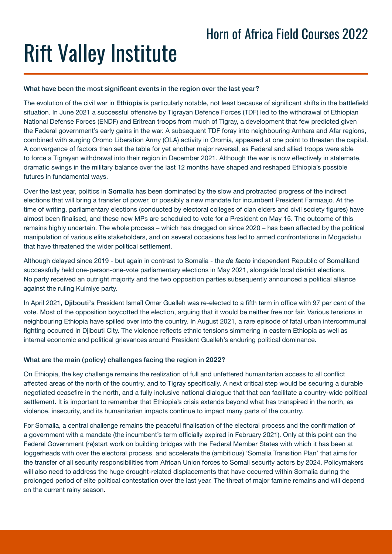## Rift Valley Institute

#### What have been the most significant events in the region over the last year?

The evolution of the civil war in Ethiopia is particularly notable, not least because of significant shifts in the battlefield situation. In June 2021 a successful offensive by Tigrayan Defence Forces (TDF) led to the withdrawal of Ethiopian National Defense Forces (ENDF) and Eritrean troops from much of Tigray, a development that few predicted given the Federal government's early gains in the war. A subsequent TDF foray into neighbouring Amhara and Afar regions, combined with surging Oromo Liberation Army (OLA) activity in Oromia, appeared at one point to threaten the capital. A convergence of factors then set the table for yet another major reversal, as Federal and allied troops were able to force a Tigrayan withdrawal into their region in December 2021. Although the war is now effectively in stalemate, dramatic swings in the military balance over the last 12 months have shaped and reshaped Ethiopia's possible futures in fundamental ways.

Over the last year, politics in Somalia has been dominated by the slow and protracted progress of the indirect elections that will bring a transfer of power, or possibly a new mandate for incumbent President Farmaajo. At the time of writing, parliamentary elections (conducted by electoral colleges of clan elders and civil society figures) have almost been finalised, and these new MPs are scheduled to vote for a President on May 15. The outcome of this remains highly uncertain. The whole process – which has dragged on since 2020 – has been affected by the political manipulation of various elite stakeholders, and on several occasions has led to armed confrontations in Mogadishu that have threatened the wider political settlement.

Although delayed since 2019 - but again in contrast to Somalia - the *de facto* independent Republic of Somaliland successfully held one-person-one-vote parliamentary elections in May 2021, alongside local district elections. No party received an outright majority and the two opposition parties subsequently announced a political alliance against the ruling Kulmiye party.

In April 2021, Djibouti's President Ismaïl Omar Guelleh was re-elected to a fifth term in office with 97 per cent of the vote. Most of the opposition boycotted the election, arguing that it would be neither free nor fair. Various tensions in neighbouring Ethiopia have spilled over into the country. In August 2021, a rare episode of fatal urban intercommunal fighting occurred in Djibouti City. The violence reflects ethnic tensions simmering in eastern Ethiopia as well as internal economic and political grievances around President Guelleh's enduring political dominance.

#### What are the main (policy) challenges facing the region in 2022?

On Ethiopia, the key challenge remains the realization of full and unfettered humanitarian access to all conflict affected areas of the north of the country, and to Tigray specifically. A next critical step would be securing a durable negotiated ceasefire in the north, and a fully inclusive national dialogue that that can facilitate a country-wide political settlement. It is important to remember that Ethiopia's crisis extends beyond what has transpired in the north, as violence, insecurity, and its humanitarian impacts continue to impact many parts of the country.

For Somalia, a central challenge remains the peaceful finalisation of the electoral process and the confirmation of a government with a mandate (the incumbent's term officially expired in February 2021). Only at this point can the Federal Government (re)start work on building bridges with the Federal Member States with which it has been at loggerheads with over the electoral process, and accelerate the (ambitious) 'Somalia Transition Plan' that aims for the transfer of all security responsibilities from African Union forces to Somali security actors by 2024. Policymakers will also need to address the huge drought-related displacements that have occurred within Somalia during the prolonged period of elite political contestation over the last year. The threat of major famine remains and will depend on the current rainy season.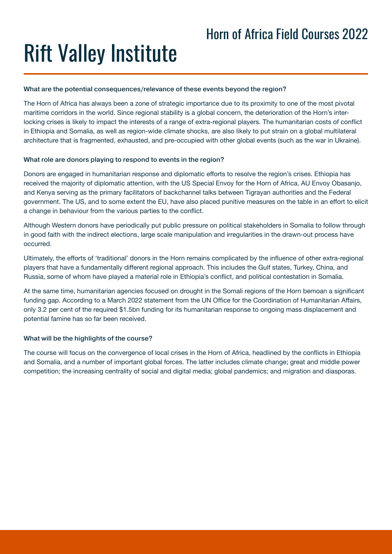# Rift Valley Institute

#### What are the potential consequences/relevance of these events beyond the region?

The Horn of Africa has always been a zone of strategic importance due to its proximity to one of the most pivotal maritime corridors in the world. Since regional stability is a global concern, the deterioration of the Horn's interlocking crises is likely to impact the interests of a range of extra-regional players. The humanitarian costs of conflict in Ethiopia and Somalia, as well as region-wide climate shocks, are also likely to put strain on a global multilateral architecture that is fragmented, exhausted, and pre-occupied with other global events (such as the war in Ukraine).

#### What role are donors playing to respond to events in the region?

Donors are engaged in humanitarian response and diplomatic efforts to resolve the region's crises. Ethiopia has received the majority of diplomatic attention, with the US Special Envoy for the Horn of Africa, AU Envoy Obasanjo, and Kenya serving as the primary facilitators of backchannel talks between Tigrayan authorities and the Federal government. The US, and to some extent the EU, have also placed punitive measures on the table in an effort to elicit a change in behaviour from the various parties to the conflict.

Although Western donors have periodically put public pressure on political stakeholders in Somalia to follow through in good faith with the indirect elections, large scale manipulation and irregularities in the drawn-out process have occurred.

Ultimately, the efforts of 'traditional' donors in the Horn remains complicated by the influence of other extra-regional players that have a fundamentally different regional approach. This includes the Gulf states, Turkey, China, and Russia, some of whom have played a material role in Ethiopia's conflict, and political contestation in Somalia.

At the same time, humanitarian agencies focused on drought in the Somali regions of the Horn bemoan a significant funding gap. According to a March 2022 statement from the UN Office for the Coordination of Humanitarian Affairs, only 3.2 per cent of the required \$1.5bn funding for its humanitarian response to ongoing mass displacement and potential famine has so far been received.

#### What will be the highlights of the course?

The course will focus on the convergence of local crises in the Horn of Africa, headlined by the conflicts in Ethiopia and Somalia, and a number of important global forces. The latter includes climate change; great and middle power competition; the increasing centrality of social and digital media; global pandemics; and migration and diasporas.